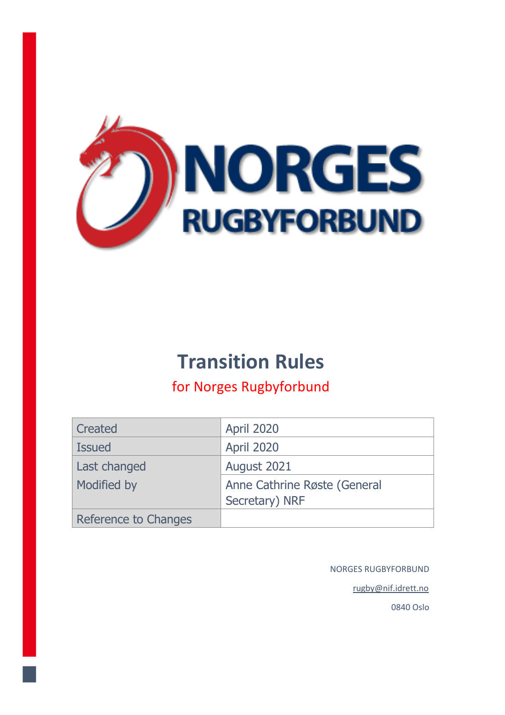

# **Transition Rules**

# for Norges Rugbyforbund

| Created              | <b>April 2020</b>            |
|----------------------|------------------------------|
|                      |                              |
| <b>Issued</b>        | <b>April 2020</b>            |
| Last changed         | August 2021                  |
| Modified by          | Anne Cathrine Røste (General |
|                      | Secretary) NRF               |
| Reference to Changes |                              |

NORGES RUGBYFORBUND

rugby@nif.idrett.no

0840 Oslo